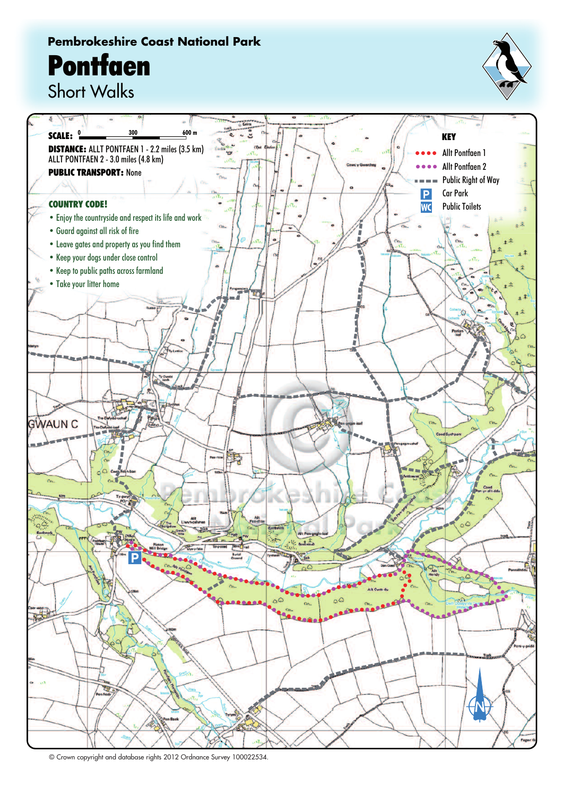## **Pembrokeshire Coast National Park Pontfaen**



Short Walks



© Crown copyright and database rights 2012 Ordnance Survey 100022534.